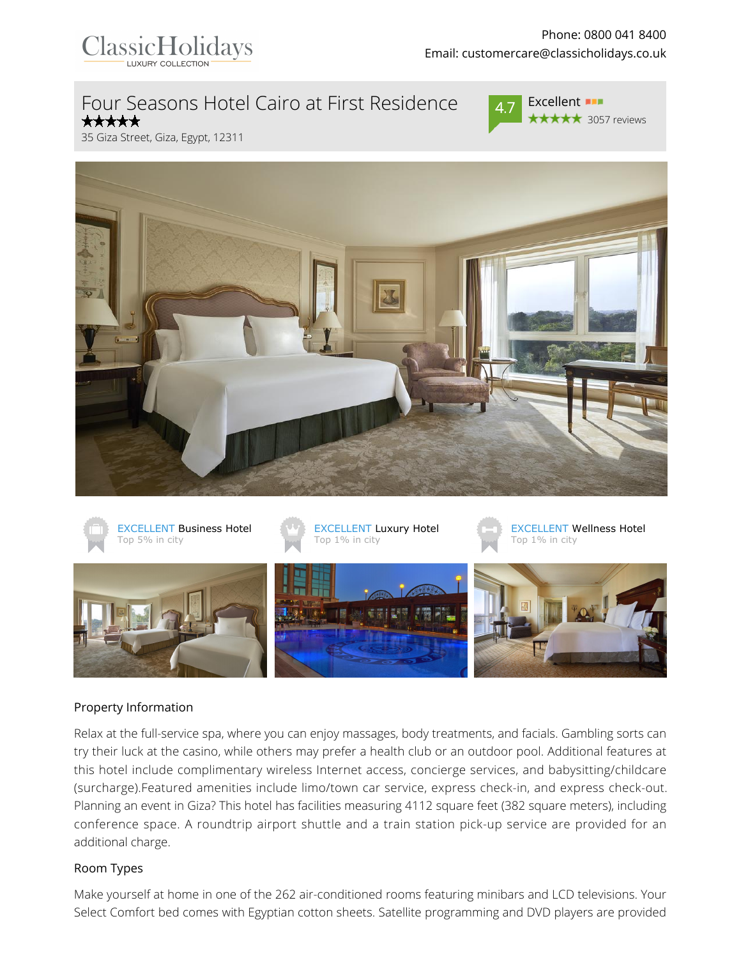

# Four Seasons Hotel Cairo at First Residence



Excellent **BIR ★★★★★** 3057 reviews

35 Giza Street, Giza, Egypt, 12311





#### Property Information

Relax at the full-service spa, where you can enjoy massages, body treatments, and facials. Gambling sorts can try their luck at the casino, while others may prefer a health club or an outdoor pool. Additional features at this hotel include complimentary wireless Internet access, concierge services, and babysitting/childcare (surcharge).Featured amenities include limo/town car service, express check-in, and express check-out. Planning an event in Giza? This hotel has facilities measuring 4112 square feet (382 square meters), including conference space. A roundtrip airport shuttle and a train station pick-up service are provided for an additional charge.

#### Room Types

Make yourself at home in one of the 262 air-conditioned rooms featuring minibars and LCD televisions. Your Select Comfort bed comes with Egyptian cotton sheets. Satellite programming and DVD players are provided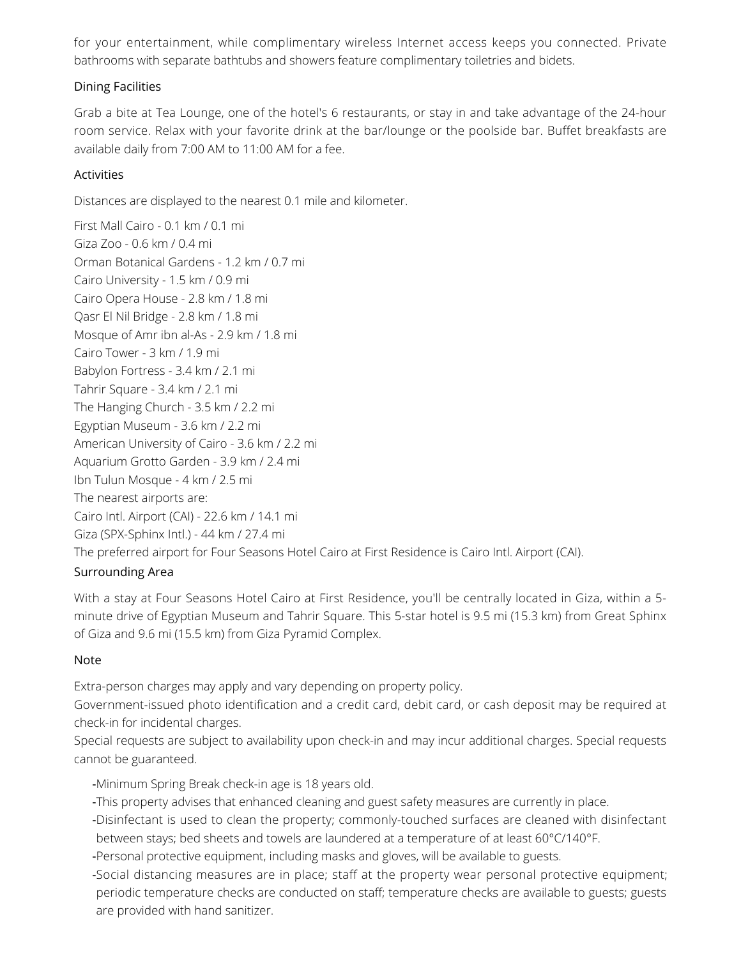for your entertainment, while complimentary wireless Internet access keeps you connected. Private bathrooms with separate bathtubs and showers feature complimentary toiletries and bidets.

# Dining Facilities

Grab a bite at Tea Lounge, one of the hotel's 6 restaurants, or stay in and take advantage of the 24-hour room service. Relax with your favorite drink at the bar/lounge or the poolside bar. Buffet breakfasts are available daily from 7:00 AM to 11:00 AM for a fee.

# Activities

Distances are displayed to the nearest 0.1 mile and kilometer.

First Mall Cairo - 0.1 km / 0.1 mi Giza Zoo - 0.6 km / 0.4 mi Orman Botanical Gardens - 1.2 km / 0.7 mi Cairo University - 1.5 km / 0.9 mi Cairo Opera House - 2.8 km / 1.8 mi Qasr El Nil Bridge - 2.8 km / 1.8 mi Mosque of Amr ibn al-As - 2.9 km / 1.8 mi Cairo Tower - 3 km / 1.9 mi Babylon Fortress - 3.4 km / 2.1 mi Tahrir Square - 3.4 km / 2.1 mi The Hanging Church - 3.5 km / 2.2 mi Egyptian Museum - 3.6 km / 2.2 mi American University of Cairo - 3.6 km / 2.2 mi Aquarium Grotto Garden - 3.9 km / 2.4 mi Ibn Tulun Mosque - 4 km / 2.5 mi The nearest airports are: Cairo Intl. Airport (CAI) - 22.6 km / 14.1 mi Giza (SPX-Sphinx Intl.) - 44 km / 27.4 mi The preferred airport for Four Seasons Hotel Cairo at First Residence is Cairo Intl. Airport (CAI).

## Surrounding Area

With a stay at Four Seasons Hotel Cairo at First Residence, you'll be centrally located in Giza, within a 5 minute drive of Egyptian Museum and Tahrir Square. This 5-star hotel is 9.5 mi (15.3 km) from Great Sphinx of Giza and 9.6 mi (15.5 km) from Giza Pyramid Complex.

## Note

Extra-person charges may apply and vary depending on property policy.

Government-issued photo identification and a credit card, debit card, or cash deposit may be required at check-in for incidental charges.

Special requests are subject to availability upon check-in and may incur additional charges. Special requests cannot be guaranteed.

- -Minimum Spring Break check-in age is 18 years old.
- -This property advises that enhanced cleaning and guest safety measures are currently in place.
- -Disinfectant is used to clean the property; commonly-touched surfaces are cleaned with disinfectant between stays; bed sheets and towels are laundered at a temperature of at least 60°C/140°F.

-Personal protective equipment, including masks and gloves, will be available to guests.

-Social distancing measures are in place; staff at the property wear personal protective equipment; periodic temperature checks are conducted on staff; temperature checks are available to guests; guests are provided with hand sanitizer.